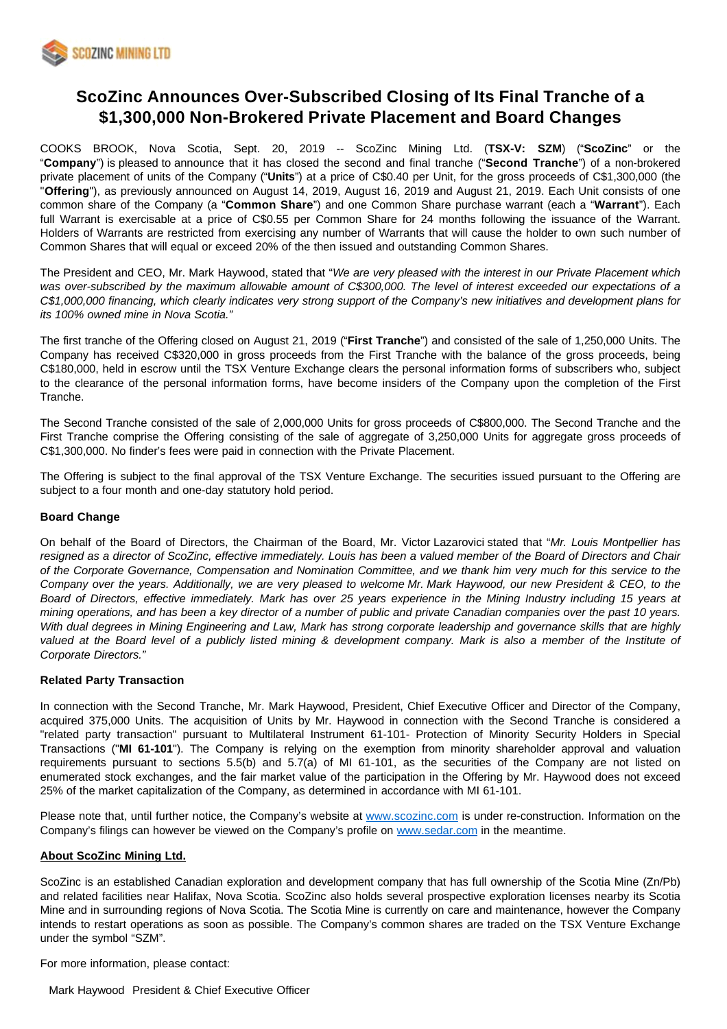

# **ScoZinc Announces Over-Subscribed Closing of Its Final Tranche of a \$1,300,000 Non-Brokered Private Placement and Board Changes**

COOKS BROOK, Nova Scotia, Sept. 20, 2019 -- ScoZinc Mining Ltd. (**TSX-V: SZM**) ("**ScoZinc**" or the "**Company**") is pleased to announce that it has closed the second and final tranche ("**Second Tranche**") of a non-brokered private placement of units of the Company ("**Units**") at a price of C\$0.40 per Unit, for the gross proceeds of C\$1,300,000 (the "**Offering**"), as previously announced on August 14, 2019, August 16, 2019 and August 21, 2019. Each Unit consists of one common share of the Company (a "**Common Share**") and one Common Share purchase warrant (each a "**Warrant**"). Each full Warrant is exercisable at a price of C\$0.55 per Common Share for 24 months following the issuance of the Warrant. Holders of Warrants are restricted from exercising any number of Warrants that will cause the holder to own such number of Common Shares that will equal or exceed 20% of the then issued and outstanding Common Shares.

The President and CEO, Mr. Mark Haywood, stated that "We are very pleased with the interest in our Private Placement which was over-subscribed by the maximum allowable amount of C\$300,000. The level of interest exceeded our expectations of a C\$1,000,000 financing, which clearly indicates very strong support of the Company's new initiatives and development plans for its 100% owned mine in Nova Scotia."

The first tranche of the Offering closed on August 21, 2019 ("**First Tranche**") and consisted of the sale of 1,250,000 Units. The Company has received C\$320,000 in gross proceeds from the First Tranche with the balance of the gross proceeds, being C\$180,000, held in escrow until the TSX Venture Exchange clears the personal information forms of subscribers who, subject to the clearance of the personal information forms, have become insiders of the Company upon the completion of the First Tranche.

The Second Tranche consisted of the sale of 2,000,000 Units for gross proceeds of C\$800,000. The Second Tranche and the First Tranche comprise the Offering consisting of the sale of aggregate of 3,250,000 Units for aggregate gross proceeds of C\$1,300,000. No finder's fees were paid in connection with the Private Placement.

The Offering is subject to the final approval of the TSX Venture Exchange. The securities issued pursuant to the Offering are subject to a four month and one-day statutory hold period.

#### **Board Change**

On behalf of the Board of Directors, the Chairman of the Board, Mr. Victor Lazarovici stated that "Mr. Louis Montpellier has resigned as a director of ScoZinc, effective immediately. Louis has been a valued member of the Board of Directors and Chair of the Corporate Governance, Compensation and Nomination Committee, and we thank him very much for this service to the Company over the years. Additionally, we are very pleased to welcome Mr. Mark Haywood, our new President & CEO, to the Board of Directors, effective immediately. Mark has over 25 years experience in the Mining Industry including 15 years at mining operations, and has been a key director of a number of public and private Canadian companies over the past 10 years. With dual degrees in Mining Engineering and Law, Mark has strong corporate leadership and governance skills that are highly valued at the Board level of a publicly listed mining & development company. Mark is also a member of the Institute of Corporate Directors."

### **Related Party Transaction**

In connection with the Second Tranche, Mr. Mark Haywood, President, Chief Executive Officer and Director of the Company, acquired 375,000 Units. The acquisition of Units by Mr. Haywood in connection with the Second Tranche is considered a "related party transaction" pursuant to Multilateral Instrument 61-101- Protection of Minority Security Holders in Special Transactions ("**MI 61-101**"). The Company is relying on the exemption from minority shareholder approval and valuation requirements pursuant to sections 5.5(b) and 5.7(a) of MI 61-101, as the securities of the Company are not listed on enumerated stock exchanges, and the fair market value of the participation in the Offering by Mr. Haywood does not exceed 25% of the market capitalization of the Company, as determined in accordance with MI 61-101.

Please note that, until further notice, the Company's website at [www.scozinc.com](http://www.scozinc.com/) is under re-construction. Information on the Company's filings can however be viewed on the Company's profile on [www.sedar.com](http://www.sedar.com/) in the meantime.

#### **About ScoZinc Mining Ltd.**

ScoZinc is an established Canadian exploration and development company that has full ownership of the Scotia Mine (Zn/Pb) and related facilities near Halifax, Nova Scotia. ScoZinc also holds several prospective exploration licenses nearby its Scotia Mine and in surrounding regions of Nova Scotia. The Scotia Mine is currently on care and maintenance, however the Company intends to restart operations as soon as possible. The Company's common shares are traded on the TSX Venture Exchange under the symbol "SZM".

For more information, please contact: